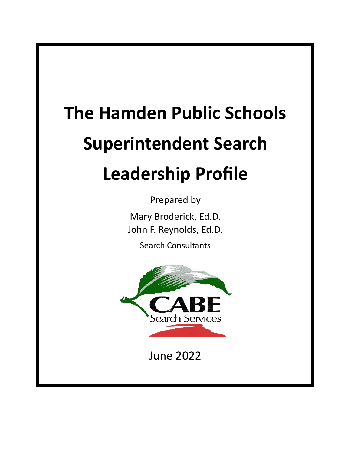# **The Hamden Public Schools Superintendent Search Leadership Profile**

Prepared by Mary Broderick, Ed.D. John F. Reynolds, Ed.D. Search Consultants



June 2022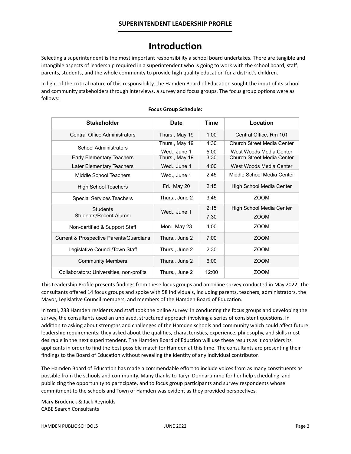# **Introduction**

Selecting a superintendent is the most important responsibility a school board undertakes. There are tangible and intangible aspects of leadership required in a superintendent who is going to work with the school board, staff, parents, students, and the whole community to provide high quality education for a district's children.

In light of the critical nature of this responsibility, the Hamden Board of Education sought the input of its school and community stakeholders through interviews, a survey and focus groups. The focus group options were as follows:

| <b>Stakeholder</b>                       | Date                           | Time         | Location                                              |
|------------------------------------------|--------------------------------|--------------|-------------------------------------------------------|
| Central Office Administrators            | Thurs., May 19                 | 1:00         | Central Office, Rm 101                                |
| School Administrators                    | Thurs., May 19<br>Wed., June 1 | 4:30<br>5:00 | Church Street Media Center<br>West Woods Media Center |
| Early Elementary Teachers                | Thurs., May 19                 | 3:30         | Church Street Media Center                            |
| Later Elementary Teachers                | Wed., June 1                   | 4:00         | West Woods Media Center                               |
| Middle School Teachers                   | Wed., June 1                   | 2:45         | Middle School Media Center                            |
| <b>High School Teachers</b>              | Fri., May 20                   | 2:15         | High School Media Center                              |
| Special Services Teachers                | Thurs., June 2                 | 3:45         | <b>ZOOM</b>                                           |
| Students<br>Students/Recent Alumni       | Wed., June 1                   | 2:15         | High School Media Center                              |
|                                          |                                | 7:30         | <b>ZOOM</b>                                           |
| Non-certified & Support Staff            | Mon., May 23                   | 4:00         | <b>ZOOM</b>                                           |
| Current & Prospective Parents/Guardians  | Thurs., June 2                 | 7:00         | <b>ZOOM</b>                                           |
| Legislative Council/Town Staff           | Thurs., June 2                 | 2:30         | <b>ZOOM</b>                                           |
| <b>Community Members</b>                 | Thurs., June 2                 | 6:00         | <b>ZOOM</b>                                           |
| Collaborators: Universities, non-profits | Thurs., June 2                 | 12:00        | <b>ZOOM</b>                                           |

#### **Focus Group Schedule:**

This Leadership Profile presents findings from these focus groups and an online survey conducted in May 2022. The consultants offered 14 focus groups and spoke with 58 individuals, including parents, teachers, administrators, the Mayor, Legislative Council members, and members of the Hamden Board of Education.

In total, 233 Hamden residents and staff took the online survey. In conducting the focus groups and developing the survey, the consultants used an unbiased, structured approach involving a series of consistent questions. In addition to asking about strengths and challenges of the Hamden schools and community which could affect future leadership requirements, they asked about the qualities, characteristics, experience, philosophy, and skills most desirable in the next superintendent. The Hamden Board of Eduction will use these results as it considers its applicants in order to find the best possible match for Hamden at this time. The consultants are presenting their findings to the Board of Education without revealing the identity of any individual contributor.

The Hamden Board of Education has made a commendable effort to include voices from as many constituents as possible from the schools and community. Many thanks to Taryn Donnarummo for her help scheduling and publicizing the opportunity to participate, and to focus group participants and survey respondents whose commitment to the schools and Town of Hamden was evident as they provided perspectives.

Mary Broderick & Jack Reynolds CABE Search Consultants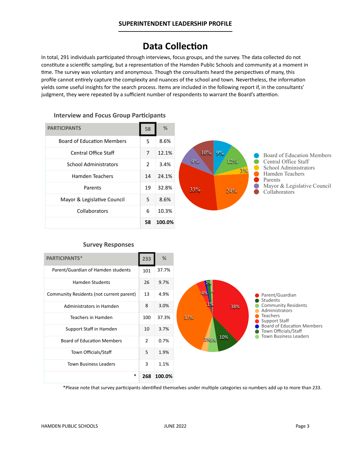# **Data Collection**

In total, 291 individuals participated through interviews, focus groups, and the survey. The data collected do not constitute a scientific sampling, but a representation of the Hamden Public Schools and community at a moment in time. The survey was voluntary and anonymous. Though the consultants heard the perspectives of many, this profile cannot entirely capture the complexity and nuances of the school and town. Nevertheless, the information yields some useful insights for the search process. Items are included in the following report if, in the consultants' judgment, they were repeated by a sufficient number of respondents to warrant the Board's attention.

| <b>PARTICIPANTS</b>               | 58            | %      |
|-----------------------------------|---------------|--------|
| <b>Board of Education Members</b> | 5             | 8.6%   |
| <b>Central Office Staff</b>       | 7             | 12.1%  |
| <b>School Administrators</b>      | $\mathcal{P}$ | 3.4%   |
| Hamden Teachers                   | 14            | 24.1%  |
| Parents                           | 19            | 32.8%  |
| Mayor & Legislative Council       | 5             | 8.6%   |
| Collaborators                     | 6             | 10.3%  |
|                                   | 58            | 100.0% |





#### **Survey Responses**

| <b>PARTICIPANTS*</b>                     | 233 | %      |
|------------------------------------------|-----|--------|
| Parent/Guardian of Hamden students       | 101 | 37.7%  |
| <b>Hamden Students</b>                   | 26  | 9.7%   |
| Community Residents (not current parent) | 13  | 4.9%   |
| Administrators in Hamden                 | 8   | 3.0%   |
| Teachers in Hamden                       | 100 | 37.3%  |
| Support Staff in Hamden                  | 10  | 3.7%   |
| <b>Board of Education Members</b>        | 2   | 0.7%   |
| Town Officials/Staff                     | 5   | 1.9%   |
| <b>Town Business Leaders</b>             | 3   | 1.1%   |
| $\ast$                                   | 268 | 100.0% |

\*Please note that survey participants identified themselves under multiple categories so numbers add up to more than 233.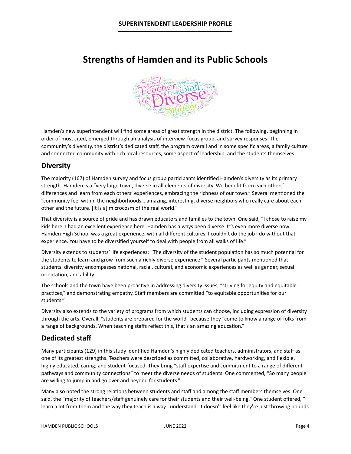# **Strengths of Hamden and its Public Schools**



Hamden's new superintendent will find some areas of great strength in the district. The following, beginning in order of most cited, emerged through an analysis of interview, focus group, and survey responses: The community's diversity, the district's dedicated staff, the program overall and in some specific areas, a family culture and connected community with rich local resources, some aspect of leadership, and the students themselves.

#### **Diversity**

The majority (167) of Hamden survey and focus group participants identified Hamden's diversity as its primary strength. Hamden is a "very large town, diverse in all elements of diversity. We benefit from each others' differences and learn from each others' experiences, embracing the richness of our town." Several mentioned the "community feel within the neighborhoods… amazing, interesting, diverse neighbors who really care about each other and the future. [It is a] microcosm of the real world."

That diversity is a source of pride and has drawn educators and families to the town. One said, "I chose to raise my kids here. I had an excellent experience here. Hamden has always been diverse. It's even more diverse now. Hamden High School was a great experience, with all different cultures. I couldn't do the job I do without that experience. You have to be diversified yourself to deal with people from all walks of life."

Diversity extends to students' life experiences: "The diversity of the student population has so much potential for the students to learn and grow from such a richly diverse experience." Several participants mentioned that students' diversity encompasses national, racial, cultural, and economic experiences as well as gender, sexual orientation, and ability.

The schools and the town have been proactive in addressing diversity issues, "striving for equity and equitable practices," and demonstrating empathy. Staff members are committed "to equitable opportunities for our students."

Diversity also extends to the variety of programs from which students can choose, including expression of diversity through the arts. Overall, "students are prepared for the world" because they "come to know a range of folks from a range of backgrounds. When teaching staffs reflect this, that's an amazing education."

#### **Dedicated staff**

Many participants (129) in this study identified Hamden's highly dedicated teachers, administrators, and staff as one of its greatest strengths. Teachers were described as committed, collaborative, hardworking, and flexible, highly educated, caring, and student-focused. They bring "staff expertise and commitment to a range of different pathways and community connections" to meet the diverse needs of students. One commented, "So many people are willing to jump in and go over and beyond for students."

Many also noted the strong relations between students and staff and among the staff members themselves. One said, the "majority of teachers/staff genuinely care for their students and their well-being." One student offered, "I learn a lot from them and the way they teach is a way I understand. It doesn't feel like they're just throwing pounds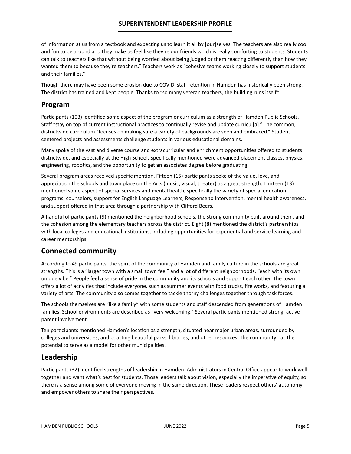#### **SUPERINTENDENT LEADERSHIP PROFILE**

of information at us from a textbook and expecting us to learn it all by [our]selves. The teachers are also really cool and fun to be around and they make us feel like they're our friends which is really comforting to students. Students can talk to teachers like that without being worried about being judged or them reacting differently than how they wanted them to because they're teachers." Teachers work as "cohesive teams working closely to support students and their families."

Though there may have been some erosion due to COVID, staff retention in Hamden has historically been strong. The district has trained and kept people. Thanks to "so many veteran teachers, the building runs itself."

#### **Program**

Participants (103) identified some aspect of the program or curriculum as a strength of Hamden Public Schools. Staff "stay on top of current instructional practices to continually revise and update curricul[a]." The common, districtwide curriculum "focuses on making sure a variety of backgrounds are seen and embraced." Studentcentered projects and assessments challenge students in various educational domains.

Many spoke of the vast and diverse course and extracurricular and enrichment opportunities offered to students districtwide, and especially at the High School. Specifically mentioned were advanced placement classes, physics, engineering, robotics, and the opportunity to get an associates degree before graduating.

Several program areas received specific mention. Fifteen (15) participants spoke of the value, love, and appreciation the schools and town place on the Arts (music, visual, theater) as a great strength. Thirteen (13) mentioned some aspect of special services and mental health, specifically the variety of special education programs, counselors, support for English Language Learners, Response to Intervention, mental health awareness, and support offered in that area through a partnership with Clifford Beers.

A handful of participants (9) mentioned the neighborhood schools, the strong community built around them, and the cohesion among the elementary teachers across the district. Eight (8) mentioned the district's partnerships with local colleges and educational institutions, including opportunities for experiential and service learning and career mentorships.

#### **Connected community**

According to 49 participants, the spirit of the community of Hamden and family culture in the schools are great strengths. This is a "larger town with a small town feel" and a lot of different neighborhoods, "each with its own unique vibe." People feel a sense of pride in the community and its schools and support each other. The town offers a lot of activities that include everyone, such as summer events with food trucks, fire works, and featuring a variety of arts. The community also comes together to tackle thorny challenges together through task forces.

The schools themselves are "like a family" with some students and staff descended from generations of Hamden families. School environments are described as "very welcoming." Several participants mentioned strong, active parent involvement.

Ten participants mentioned Hamden's location as a strength, situated near major urban areas, surrounded by colleges and universities, and boasting beautiful parks, libraries, and other resources. The community has the potential to serve as a model for other municipalities.

#### **Leadership**

Participants (32) identified strengths of leadership in Hamden. Administrators in Central Office appear to work well together and want what's best for students. Those leaders talk about vision, especially the imperative of equity, so there is a sense among some of everyone moving in the same direction. These leaders respect others' autonomy and empower others to share their perspectives.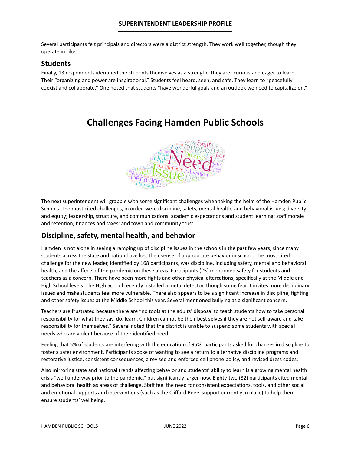Several participants felt principals and directors were a district strength. They work well together, though they operate in silos.

#### **Students**

Finally, 13 respondents identified the students themselves as a strength. They are "curious and eager to learn," Their "organizing and power are inspirational." Students feel heard, seen, and safe. They learn to "peacefully coexist and collaborate." One noted that students "have wonderful goals and an outlook we need to capitalize on."

**Challenges Facing Hamden Public Schools**

The next superintendent will grapple with some significant challenges when taking the helm of the Hamden Public Schools. The most cited challenges, in order, were discipline, safety, mental health, and behavioral issues; diversity and equity; leadership, structure, and communications; academic expectations and student learning; staff morale and retention; finances and taxes; and town and community trust.

#### **Discipline, safety, mental health, and behavior**

Hamden is not alone in seeing a ramping up of discipline issues in the schools in the past few years, since many students across the state and nation have lost their sense of appropriate behavior in school. The most cited challenge for the new leader, identified by 168 participants, was discipline, including safety, mental and behavioral health, and the affects of the pandemic on these areas. Participants (25) mentioned safety for students and teachers as a concern. There have been more fights and other physical altercations, specifically at the Middle and High School levels. The High School recently installed a metal detector, though some fear it invites more disciplinary issues and make students feel more vulnerable. There also appears to be a significant increase in discipline, fighting and other safety issues at the Middle School this year. Several mentioned bullying as a significant concern.

Teachers are frustrated because there are "no tools at the adults' disposal to teach students how to take personal responsibility for what they say, do, learn. Children cannot be their best selves if they are not self-aware and take responsibility for themselves." Several noted that the district is unable to suspend some students with special needs who are violent because of their identified need.

Feeling that 5% of students are interfering with the education of 95%, participants asked for changes in discipline to foster a safer environment. Participants spoke of wanting to see a return to alternative discipline programs and restorative justice, consistent consequences, a revised and enforced cell phone policy, and revised dress codes.

Also mirroring state and national trends affecting behavior and students' ability to learn is a growing mental health crisis "well underway prior to the pandemic," but significantly larger now. Eighty-two (82) participants cited mental and behavioral health as areas of challenge. Staff feel the need for consistent expectations, tools, and other social and emotional supports and interventions (such as the Clifford Beers support currently in place) to help them ensure students' wellbeing.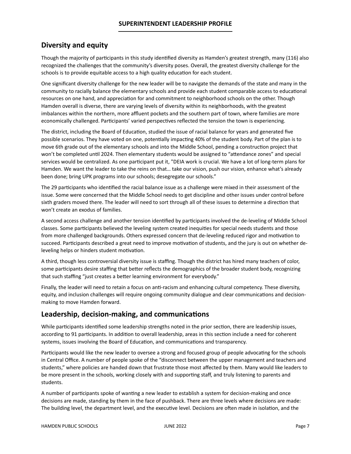#### **Diversity and equity**

Though the majority of participants in this study identified diversity as Hamden's greatest strength, many (116) also recognized the challenges that the community's diversity poses. Overall, the greatest diversity challenge for the schools is to provide equitable access to a high quality education for each student.

One significant diversity challenge for the new leader will be to navigate the demands of the state and many in the community to racially balance the elementary schools and provide each student comparable access to educational resources on one hand, and appreciation for and commitment to neighborhood schools on the other. Though Hamden overall is diverse, there are varying levels of diversity within its neighborhoods, with the greatest imbalances within the northern, more affluent pockets and the southern part of town, where families are more economically challenged. Participants' varied perspectives reflected the tension the town is experiencing.

The district, including the Board of Education, studied the issue of racial balance for years and generated five possible scenarios. They have voted on one, potentially impacting 40% of the student body. Part of the plan is to move 6th grade out of the elementary schools and into the Middle School, pending a construction project that won't be completed until 2024. Then elementary students would be assigned to "attendance zones" and special services would be centralized. As one participant put it, "DEIA work is crucial. We have a lot of long-term plans for Hamden. We want the leader to take the reins on that… take our vision, push our vision, enhance what's already been done; bring UPK programs into our schools; desegregate our schools."

The 29 participants who identified the racial balance issue as a challenge were mixed in their assessment of the issue. Some were concerned that the Middle School needs to get discipline and other issues under control before sixth graders moved there. The leader will need to sort through all of these issues to determine a direction that won't create an exodus of families.

A second access challenge and another tension identified by participants involved the de-leveling of Middle School classes. Some participants believed the leveling system created inequities for special needs students and those from more challenged backgrounds. Others expressed concern that de-leveling reduced rigor and motivation to succeed. Participants described a great need to improve motivation of students, and the jury is out on whether deleveling helps or hinders student motivation.

A third, though less controversial diversity issue is staffing. Though the district has hired many teachers of color, some participants desire staffing that better reflects the demographics of the broader student body, recognizing that such staffing "just creates a better learning environment for everybody."

Finally, the leader will need to retain a focus on anti-racism and enhancing cultural competency. These diversity, equity, and inclusion challenges will require ongoing community dialogue and clear communications and decisionmaking to move Hamden forward.

#### **Leadership, decision-making, and communications**

While participants identified some leadership strengths noted in the prior section, there are leadership issues, according to 91 participants. In addition to overall leadership, areas in this section include a need for coherent systems, issues involving the Board of Education, and communications and transparency.

Participants would like the new leader to oversee a strong and focused group of people advocating for the schools in Central Office. A number of people spoke of the "disconnect between the upper management and teachers and students," where policies are handed down that frustrate those most affected by them. Many would like leaders to be more present in the schools, working closely with and supporting staff, and truly listening to parents and students.

A number of participants spoke of wanting a new leader to establish a system for decision-making and once decisions are made, standing by them in the face of pushback. There are three levels where decisions are made: The building level, the department level, and the executive level. Decisions are often made in isolation, and the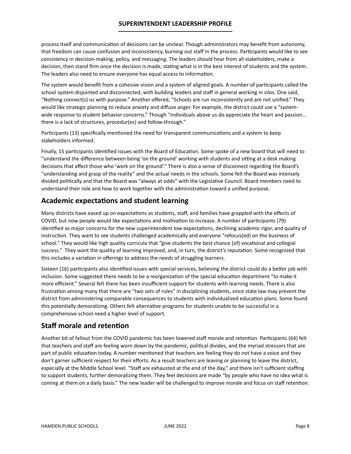#### **SUPERINTENDENT LEADERSHIP PROFILE**

process itself and communication of decisions can be unclear. Though administrators may benefit from autonomy, that freedom can cause confusion and inconsistency, burning out staff in the process. Participants would like to see consistency in decision-making, policy, and messaging. The leaders should hear from all stakeholders, make a decision, then stand firm once the decision is made, stating what is in the best interest of students and the system. The leaders also need to ensure everyone has equal access to information.

The system would benefit from a cohesive vision and a system of aligned goals. A number of participants called the school system disjointed and disconnected, with building leaders and staff in general working in silos. One said, "Nothing connect(s) us with purpose." Another offered, "Schools are run inconsistently and are not unified." They would like strategic planning to reduce anxiety and diffuse anger. For example, the district could use a "systemwide response to student behavior concerns." Though "individuals above us do appreciate the heart and passion... there is a lack of structures, procedur(es) and follow-through."

Participants (13) specifically mentioned the need for transparent communications and a system to keep stakeholders informed.

Finally, 15 participants identified issues with the Board of Education. Some spoke of a new board that will need to "understand the difference between being 'on the ground' working with students and sitting at a desk making decisions that affect those who 'work on the ground'." There is also a sense of disconnect regarding the Board's "understanding and grasp of the reality" and the actual needs in the schools. Some felt the Board was intensely divided politically and that the Board was "always at odds" with the Legislative Council. Board members need to understand their role and how to work together with the administration toward a unified purpose.

#### **Academic expectations and student learning**

Many districts have eased up on expectations as students, staff, and families have grappled with the effects of COVID, but now people would like expectations and motivation to increase. A number of participants (79) identified as major concerns for the new superintendent low expectations, declining academic rigor, and quality of instruction. They want to see students challenged academically and everyone "refocus(ed) on the business of school." They would like high quality curricula that "give students the best chance (of) vocational and collegial success." They want the quality of learning improved, and, in turn, the district's reputation. Some recognized that this includes a variation in offerings to address the needs of struggling learners.

Sixteen (16) participants also identified issues with special services, believing the district could do a better job with inclusion. Some suggested there needs to be a reorganization of the special education department "to make it more efficient." Several felt there has been insufficient support for students with learning needs. There is also frustration among many that there are "two sets of rules" in disciplining students, since state law may prevent the district from administering comparable consequences to students with individualized education plans. Some found this potentially demoralizing. Others felt alternative programs for students unable to be successful in a comprehensive school need a higher level of support.

#### **Staff morale and retention**

Another bit of fallout from the COVID pandemic has been lowered staff morale and retention. Participants (64) felt that teachers and staff are feeling worn down by the pandemic, political divides, and the myriad stressors that are part of public education today. A number mentioned that teachers are feeling they do not have a voice and they don't garner sufficient respect for their efforts. As a result teachers are leaving or planning to leave the district, especially at the Middle School level. "Staff are exhausted at the end of the day," and there isn't sufficient staffing to support students, further demoralizing them. They feel decisions are made "by people who have no idea what is coming at them on a daily basis." The new leader will be challenged to improve morale and focus on staff retention.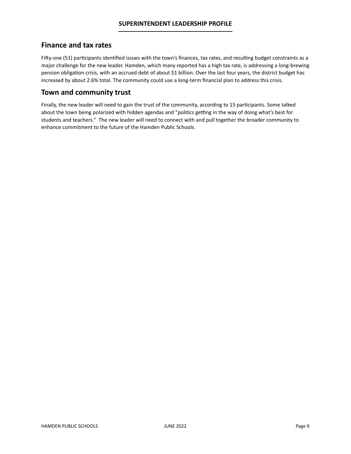#### **Finance and tax rates**

Fifty-one (51) participants identified issues with the town's finances, tax rates, and resulting budget constraints as a major challenge for the new leader. Hamden, which many reported has a high tax rate, is addressing a long-brewing pension obligation crisis, with an accrued debt of about \$1 billion. Over the last four years, the district budget has increased by about 2.6% total. The community could use a long-term financial plan to address this crisis.

#### **Town and community trust**

Finally, the new leader will need to gain the trust of the community, according to 15 participants. Some talked about the town being polarized with hidden agendas and "politics getting in the way of doing what's best for students and teachers." The new leader will need to connect with and pull together the broader community to enhance commitment to the future of the Hamden Public Schools.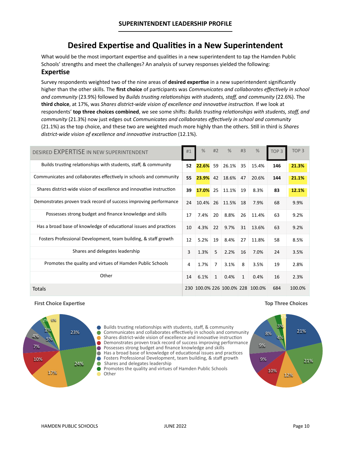## **Desired Expertise and Qualities in a New Superintendent**

What would be the most important expertise and qualities in a new superintendent to tap the Hamden Public Schools' strengths and meet the challenges? An analysis of survey responses yielded the following:

#### **Expertise**

Survey respondents weighted two of the nine areas of **desired expertise** in a new superintendent significantly higher than the other skills. The **first choice** of participants was *Communicates and collaborates effectively in school and community* (23.9%) followed by *Builds trusting relationships with students, staff, and community* (22.6%). The **third choice**, at 17%, was *Shares district-wide vision of excellence and innovative instruction.* If we look at respondents' **top three choices combined**, we see some shifts: *Builds trusting relationships with students, staff, and community* (21.3%) now just edges out *Communicates and collaborates effectively in school and community*  (21.1%) as the top choice, and these two are weighted much more highly than the others. Still in third is *Shares district-wide vision of excellence and innovative instruction* (12.1%).

| DESIRED EXPERTISE IN NEW SUPERINTENDENT                              | #1   | $\frac{0}{0}$ | #2             | $\%$                         | #3           | $\%$  | TOP <sub>3</sub> | TOP <sub>3</sub> |
|----------------------------------------------------------------------|------|---------------|----------------|------------------------------|--------------|-------|------------------|------------------|
| Builds trusting relationships with students, staff, & community      | 52   | 22.6%         | 59             | 26.1%                        | 35           | 15.4% | 146              | 21.3%            |
| Communicates and collaborates effectively in schools and community   | 55   | 23.9%         | 42             | 18.6%                        | 47           | 20.6% | 144              | 21.1%            |
| Shares district-wide vision of excellence and innovative instruction | 39   | 17.0%         | 25             | 11.1%                        | 19           | 8.3%  | 83               | 12.1%            |
| Demonstrates proven track record of success improving performance    | 24   |               |                | 10.4% 26 11.5%               | 18           | 7.9%  | 68               | 9.9%             |
| Possesses strong budget and finance knowledge and skills             | 17   | 7.4%          | 20             | 8.8%                         | 26           | 11.4% | 63               | 9.2%             |
| Has a broad base of knowledge of educational issues and practices    | 10   | 4.3%          | 22             | 9.7%                         | 31           | 13.6% | 63               | 9.2%             |
| Fosters Professional Development, team building, & staff growth      | 12   | 5.2%          | 19             | 8.4%                         | 27           | 11.8% | 58               | 8.5%             |
| Shares and delegates leadership                                      | 3    | 1.3%          | 5              | 2.2%                         | 16           | 7.0%  | 24               | 3.5%             |
| Promotes the quality and virtues of Hamden Public Schools            | 4    | 1.7%          | $\overline{7}$ | 3.1%                         | 8            | 3.5%  | 19               | 2.8%             |
| Other                                                                | 14   | 6.1%          | $\mathbf{1}$   | 0.4%                         | $\mathbf{1}$ | 0.4%  | 16               | 2.3%             |
| Totals                                                               | 230. |               |                | 100.0% 226 100.0% 228 100.0% |              |       | 684              | 100.0%           |

#### **First Choice Expertise**



**Top Three Choices**



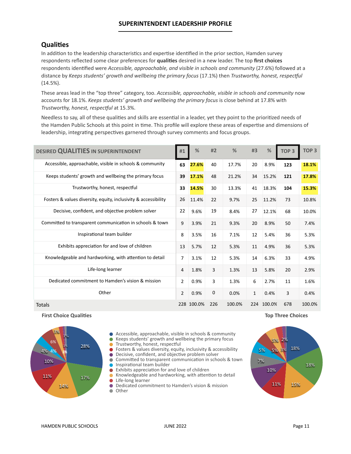#### **SUPERINTENDENT LEADERSHIP PROFILE**

#### **Qualities**

In addition to the leadership characteristics and expertise identified in the prior section, Hamden survey respondents reflected some clear preferences for **qualities** desired in a new leader. The top **first choices** respondents identified were *Accessible, approachable, and visible in schools and community* (27.6%) followed at a distance by *Keeps students' growth and wellbeing the primary focus* (17.1%) then *Trustworthy, honest, respectful* (14.5%).

These areas lead in the "top three" category, too. *Accessible, approachable, visible in schools and community* now accounts for 18.1%. *Keeps students' growth and wellbeing the primary focus* is close behind at 17.8% with *Trustworthy, honest, respectful* at 15.3%.

Needless to say, all of these qualities and skills are essential in a leader, yet they point to the prioritized needs of the Hamden Public Schools at this point in time. This profile will explore these areas of expertise and dimensions of leadership, integrating perspectives garnered through survey comments and focus groups.

| DESIRED QUALITIES IN SUPERINTENDENT                             | #1             | %          | #2  | %      | #3           | %          | TOP <sub>3</sub> | TOP <sub>3</sub> |
|-----------------------------------------------------------------|----------------|------------|-----|--------|--------------|------------|------------------|------------------|
| Accessible, approachable, visible in schools & community        | 63             | 27.6%      | 40  | 17.7%  | 20           | 8.9%       | 123              | 18.1%            |
| Keeps students' growth and wellbeing the primary focus          | 39             | 17.1%      | 48  | 21.2%  | 34           | 15.2%      | 121              | 17.8%            |
| Trustworthy, honest, respectful                                 | 33             | 14.5%      | 30  | 13.3%  | 41           | 18.3%      | 104              | 15.3%            |
| Fosters & values diversity, equity, inclusivity & accessibility | 26             | 11.4%      | 22  | 9.7%   | 25           | 11.2%      | 73               | 10.8%            |
| Decisive, confident, and objective problem solver               | 22             | 9.6%       | 19  | 8.4%   | 27           | 12.1%      | 68               | 10.0%            |
| Committed to transparent communication in schools & town        | 9              | 3.9%       | 21  | 9.3%   | 20           | 8.9%       | 50               | 7.4%             |
| Inspirational team builder                                      | 8              | 3.5%       | 16  | 7.1%   | 12           | 5.4%       | 36               | 5.3%             |
| Exhibits appreciation for and love of children                  | 13             | 5.7%       | 12  | 5.3%   | 11           | 4.9%       | 36               | 5.3%             |
| Knowledgeable and hardworking, with attention to detail         | 7              | 3.1%       | 12  | 5.3%   | 14           | 6.3%       | 33               | 4.9%             |
| Life-long learner                                               | 4              | 1.8%       | 3   | 1.3%   | 13           | 5.8%       | 20               | 2.9%             |
| Dedicated commitment to Hamden's vision & mission               | $\overline{2}$ | 0.9%       | 3   | 1.3%   | 6            | 2.7%       | 11               | 1.6%             |
| Other                                                           | $\overline{2}$ | 0.9%       | 0   | 0.0%   | $\mathbf{1}$ | 0.4%       | 3                | 0.4%             |
| Totals                                                          |                | 228 100.0% | 226 | 100.0% |              | 224 100.0% | 678              | 100.0%           |

**First Choice Qualities**



- Accessible, approachable, visible in schools & community
- Keeps students' growth and wellbeing the primary focus  $\bullet$
- Trustworthy, honest, respectful  $\bullet$
- Fosters & values diversity, equity, inclusivity & accessibility
- $\bullet$  Decisive, confident, and objective problem solver
- **Committed to transparent communication in schools & town**
- **Inspirational team builder**  $\bullet$

 $\bullet$ 

- Exhibits appreciation for and love of children
- Knowledgeable and hardworking, with attention to detail Life-long learner
- $\bullet$ Dedicated commitment to Hamden's vision & mission Ô  $\blacksquare$ Other



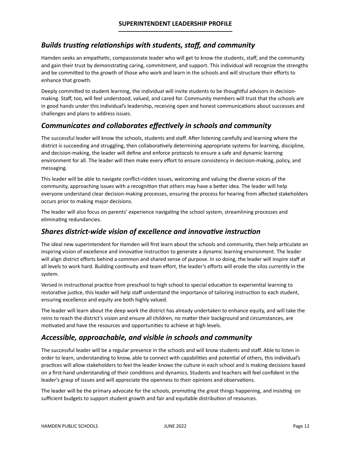#### *Builds trusting relationships with students, staff, and community*

Hamden seeks an empathetic, compassionate leader who will get to know the students, staff, and the community and gain their trust by demonstrating caring, commitment, and support. This individual will recognize the strengths and be committed to the growth of those who work and learn in the schools and will structure their efforts to enhance that growth.

Deeply committed to student learning, the individual will invite students to be thoughtful advisors in decisionmaking. Staff, too, will feel understood, valued, and cared for. Community members will trust that the schools are in good hands under this individual's leadership, receiving open and honest communications about successes and challenges and plans to address issues.

### *Communicates and collaborates effectively in schools and community*

The successful leader will know the schools, students and staff. After listening carefully and learning where the district is succeeding and struggling, then collaboratively determining appropriate systems for learning, discipline, and decision-making, the leader will define and enforce protocols to ensure a safe and dynamic learning environment for all. The leader will then make every effort to ensure consistency in decision-making, policy, and messaging.

This leader will be able to navigate conflict-ridden issues, welcoming and valuing the diverse voices of the community, approaching issues with a recognition that others may have a better idea. The leader will help everyone understand clear decision-making processes, ensuring the process for hearing from affected stakeholders occurs prior to making major decisions.

The leader will also focus on parents' experience navigating the school system, streamlining processes and eliminating redundancies.

#### *Shares district-wide vision of excellence and innovative instruction*

The ideal new superintendent for Hamden will first learn about the schools and community, then help articulate an inspiring vision of excellence and innovative instruction to generate a dynamic learning environment. The leader will align district efforts behind a common and shared sense of purpose. In so doing, the leader will inspire staff at all levels to work hard. Building continuity and team effort, the leader's efforts will erode the silos currently in the system.

Versed in instructional practice from preschool to high school to special education to experiential learning to restorative justice, this leader will help staff understand the importance of tailoring instruction to each student, ensuring excellence and equity are both highly valued.

The leader will learn about the deep work the district has already undertaken to enhance equity, and will take the reins to reach the district's vision and ensure all children, no matter their background and circumstances, are motivated and have the resources and opportunities to achieve at high levels.

#### *Accessible, approachable, and visible in schools and community*

The successful leader will be a regular presence in the schools and will know students and staff. Able to listen in order to learn, understanding to know, able to connect with capabilities and potential of others, this individual's practices will allow stakeholders to feel the leader knows the culture in each school and is making decisions based on a first-hand understanding of their conditions and dynamics. Students and teachers will feel confident in the leader's grasp of issues and will appreciate the openness to their opinions and observations.

The leader will be the primary advocate for the schools, promoting the great things happening, and insisting on sufficient budgets to support student growth and fair and equitable distribution of resources.